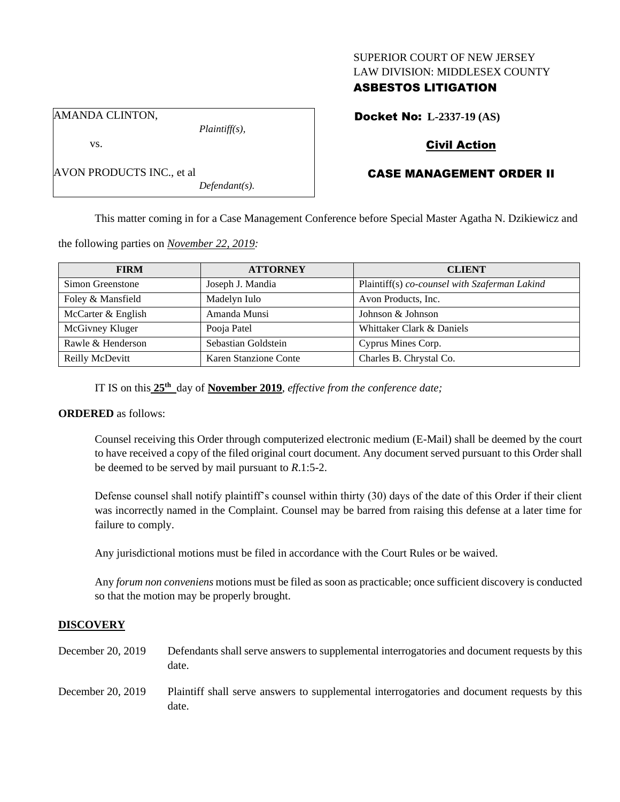#### SUPERIOR COURT OF NEW JERSEY LAW DIVISION: MIDDLESEX COUNTY

# ASBESTOS LITIGATION

Docket No: **L-2337-19 (AS)**

AMANDA CLINTON,

AVON PRODUCTS INC., et al

vs.

*Plaintiff(s),*

*Defendant(s).*

# Civil Action

# CASE MANAGEMENT ORDER II

This matter coming in for a Case Management Conference before Special Master Agatha N. Dzikiewicz and

the following parties on *November 22, 2019:*

| <b>FIRM</b>        | <b>ATTORNEY</b>       | <b>CLIENT</b>                                 |
|--------------------|-----------------------|-----------------------------------------------|
| Simon Greenstone   | Joseph J. Mandia      | Plaintiff(s) co-counsel with Szaferman Lakind |
| Foley & Mansfield  | Madelyn Iulo          | Avon Products, Inc.                           |
| McCarter & English | Amanda Munsi          | Johnson & Johnson                             |
| McGivney Kluger    | Pooja Patel           | Whittaker Clark & Daniels                     |
| Rawle & Henderson  | Sebastian Goldstein   | Cyprus Mines Corp.                            |
| Reilly McDevitt    | Karen Stanzione Conte | Charles B. Chrystal Co.                       |

IT IS on this **25 th** day of **November 2019**, *effective from the conference date;*

## **ORDERED** as follows:

Counsel receiving this Order through computerized electronic medium (E-Mail) shall be deemed by the court to have received a copy of the filed original court document. Any document served pursuant to this Order shall be deemed to be served by mail pursuant to *R*.1:5-2.

Defense counsel shall notify plaintiff's counsel within thirty (30) days of the date of this Order if their client was incorrectly named in the Complaint. Counsel may be barred from raising this defense at a later time for failure to comply.

Any jurisdictional motions must be filed in accordance with the Court Rules or be waived.

Any *forum non conveniens* motions must be filed as soon as practicable; once sufficient discovery is conducted so that the motion may be properly brought.

## **DISCOVERY**

| December 20, 2019 | Defendants shall serve answers to supplemental interrogatories and document requests by this<br>date. |
|-------------------|-------------------------------------------------------------------------------------------------------|
| December 20, 2019 | Plaintiff shall serve answers to supplemental interrogatories and document requests by this<br>date.  |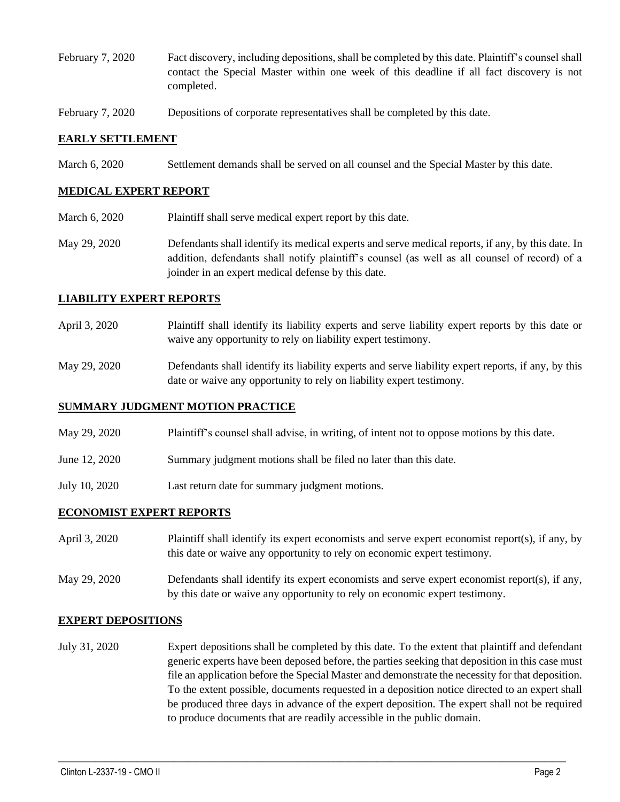- February 7, 2020 Fact discovery, including depositions, shall be completed by this date. Plaintiff's counsel shall contact the Special Master within one week of this deadline if all fact discovery is not completed.
- February 7, 2020 Depositions of corporate representatives shall be completed by this date.

## **EARLY SETTLEMENT**

March 6, 2020 Settlement demands shall be served on all counsel and the Special Master by this date.

#### **MEDICAL EXPERT REPORT**

- March 6, 2020 Plaintiff shall serve medical expert report by this date.
- May 29, 2020 Defendants shall identify its medical experts and serve medical reports, if any, by this date. In addition, defendants shall notify plaintiff's counsel (as well as all counsel of record) of a joinder in an expert medical defense by this date.

## **LIABILITY EXPERT REPORTS**

- April 3, 2020 Plaintiff shall identify its liability experts and serve liability expert reports by this date or waive any opportunity to rely on liability expert testimony.
- May 29, 2020 Defendants shall identify its liability experts and serve liability expert reports, if any, by this date or waive any opportunity to rely on liability expert testimony.

#### **SUMMARY JUDGMENT MOTION PRACTICE**

- May 29, 2020 Plaintiff's counsel shall advise, in writing, of intent not to oppose motions by this date.
- June 12, 2020 Summary judgment motions shall be filed no later than this date.
- July 10, 2020 Last return date for summary judgment motions.

#### **ECONOMIST EXPERT REPORTS**

- April 3, 2020 Plaintiff shall identify its expert economists and serve expert economist report(s), if any, by this date or waive any opportunity to rely on economic expert testimony.
- May 29, 2020 Defendants shall identify its expert economists and serve expert economist report(s), if any, by this date or waive any opportunity to rely on economic expert testimony.

#### **EXPERT DEPOSITIONS**

July 31, 2020 Expert depositions shall be completed by this date. To the extent that plaintiff and defendant generic experts have been deposed before, the parties seeking that deposition in this case must file an application before the Special Master and demonstrate the necessity for that deposition. To the extent possible, documents requested in a deposition notice directed to an expert shall be produced three days in advance of the expert deposition. The expert shall not be required to produce documents that are readily accessible in the public domain.

 $\_$  , and the set of the set of the set of the set of the set of the set of the set of the set of the set of the set of the set of the set of the set of the set of the set of the set of the set of the set of the set of th